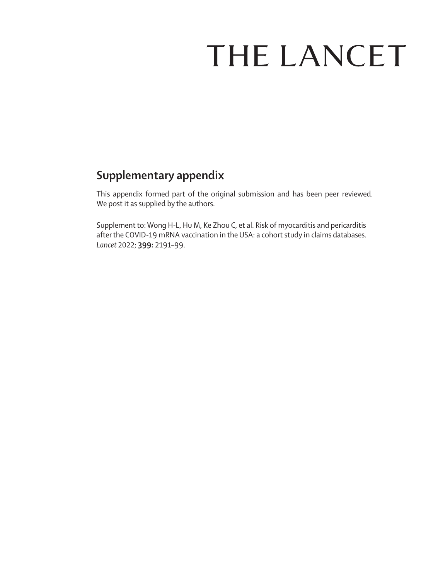# THE LANCET

# **Supplementary appendix**

This appendix formed part of the original submission and has been peer reviewed. We post it as supplied by the authors.

Supplement to: Wong H-L, Hu M, Ke Zhou C, et al. Risk of myocarditis and pericarditis after the COVID-19 mRNA vaccination in the USA: a cohort study in claims databases. *Lancet* 2022; **399:** 2191–99.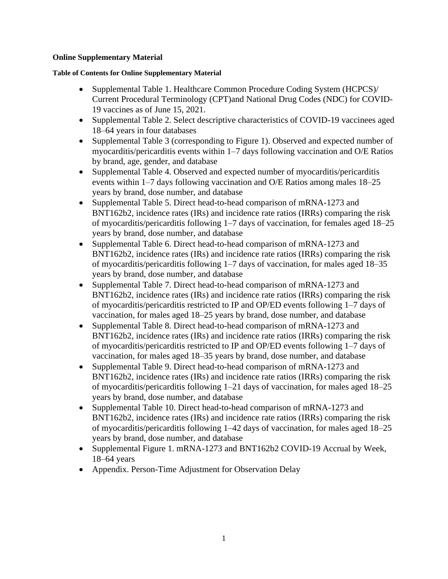### **Online Supplementary Material**

#### **Table of Contents for Online Supplementary Material**

- Supplemental Table 1. Healthcare Common Procedure Coding System (HCPCS)/ Current Procedural Terminology (CPT)and National Drug Codes (NDC) for COVID-19 vaccines as of June 15, 2021.
- Supplemental Table 2. Select descriptive characteristics of COVID-19 vaccinees aged 18–64 years in four databases
- Supplemental Table 3 (corresponding to Figure 1). Observed and expected number of myocarditis/pericarditis events within 1–7 days following vaccination and O/E Ratios by brand, age, gender, and database
- Supplemental Table 4. Observed and expected number of myocarditis/pericarditis events within 1–7 days following vaccination and O/E Ratios among males 18–25 years by brand, dose number, and database
- Supplemental Table 5. Direct head-to-head comparison of mRNA-1273 and BNT162b2, incidence rates (IRs) and incidence rate ratios (IRRs) comparing the risk of myocarditis/pericarditis following 1–7 days of vaccination, for females aged 18–25 years by brand, dose number, and database
- Supplemental Table 6. Direct head-to-head comparison of mRNA-1273 and BNT162b2, incidence rates (IRs) and incidence rate ratios (IRRs) comparing the risk of myocarditis/pericarditis following 1–7 days of vaccination, for males aged 18–35 years by brand, dose number, and database
- Supplemental Table 7. Direct head-to-head comparison of mRNA-1273 and BNT162b2, incidence rates (IRs) and incidence rate ratios (IRRs) comparing the risk of myocarditis/pericarditis restricted to IP and OP/ED events following 1–7 days of vaccination, for males aged 18–25 years by brand, dose number, and database
- Supplemental Table 8. Direct head-to-head comparison of mRNA-1273 and BNT162b2, incidence rates (IRs) and incidence rate ratios (IRRs) comparing the risk of myocarditis/pericarditis restricted to IP and OP/ED events following 1–7 days of vaccination, for males aged 18–35 years by brand, dose number, and database
- Supplemental Table 9. Direct head-to-head comparison of mRNA-1273 and BNT162b2, incidence rates (IRs) and incidence rate ratios (IRRs) comparing the risk of myocarditis/pericarditis following 1–21 days of vaccination, for males aged 18–25 years by brand, dose number, and database
- Supplemental Table 10. Direct head-to-head comparison of mRNA-1273 and BNT162b2, incidence rates (IRs) and incidence rate ratios (IRRs) comparing the risk of myocarditis/pericarditis following 1–42 days of vaccination, for males aged 18–25 years by brand, dose number, and database
- Supplemental Figure 1. mRNA-1273 and BNT162b2 COVID-19 Accrual by Week, 18–64 years
- Appendix. Person-Time Adjustment for Observation Delay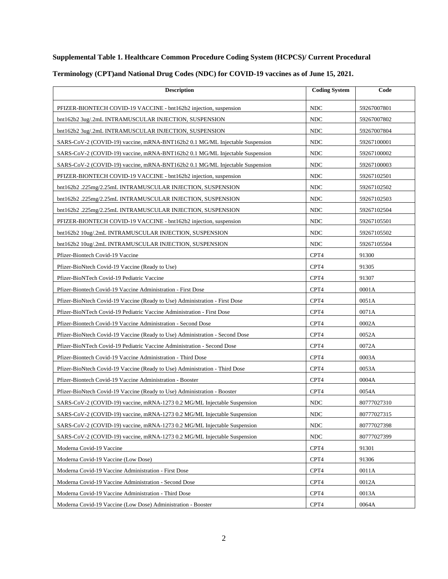### **Supplemental Table 1. Healthcare Common Procedure Coding System (HCPCS)/ Current Procedural**

| <b>Description</b>                                                           | <b>Coding System</b> | Code        |
|------------------------------------------------------------------------------|----------------------|-------------|
| PFIZER-BIONTECH COVID-19 VACCINE - bnt162b2 injection, suspension            | <b>NDC</b>           | 59267007801 |
| bnt162b2 3ug/.2mL INTRAMUSCULAR INJECTION, SUSPENSION                        | <b>NDC</b>           | 59267007802 |
| bnt162b2 3ug/.2mL INTRAMUSCULAR INJECTION, SUSPENSION                        | <b>NDC</b>           | 59267007804 |
| SARS-CoV-2 (COVID-19) vaccine, mRNA-BNT162b2 0.1 MG/ML Injectable Suspension | <b>NDC</b>           | 59267100001 |
| SARS-CoV-2 (COVID-19) vaccine, mRNA-BNT162b2 0.1 MG/ML Injectable Suspension | <b>NDC</b>           | 59267100002 |
| SARS-CoV-2 (COVID-19) vaccine, mRNA-BNT162b2 0.1 MG/ML Injectable Suspension | <b>NDC</b>           | 59267100003 |
| PFIZER-BIONTECH COVID-19 VACCINE - bnt162b2 injection, suspension            | <b>NDC</b>           | 59267102501 |
| bnt162b2 .225mg/2.25mL INTRAMUSCULAR INJECTION, SUSPENSION                   | <b>NDC</b>           | 59267102502 |
| bnt162b2 .225mg/2.25mL INTRAMUSCULAR INJECTION, SUSPENSION                   | <b>NDC</b>           | 59267102503 |
| bnt162b2.225mg/2.25mL INTRAMUSCULAR INJECTION, SUSPENSION                    | <b>NDC</b>           | 59267102504 |
| PFIZER-BIONTECH COVID-19 VACCINE - bnt162b2 injection, suspension            | <b>NDC</b>           | 59267105501 |
| bnt162b2 10ug/.2mL INTRAMUSCULAR INJECTION, SUSPENSION                       | <b>NDC</b>           | 59267105502 |
| bnt162b2 10ug/.2mL INTRAMUSCULAR INJECTION, SUSPENSION                       | <b>NDC</b>           | 59267105504 |
| Pfizer-Biontech Covid-19 Vaccine                                             | CPT4                 | 91300       |
| Pfizer-BioNtech Covid-19 Vaccine (Ready to Use)                              | CPT4                 | 91305       |
| Pfizer-BioNTech Covid-19 Pediatric Vaccine                                   | CPT4                 | 91307       |
| Pfizer-Biontech Covid-19 Vaccine Administration - First Dose                 | CPT4                 | 0001A       |
| Pfizer-BioNtech Covid-19 Vaccine (Ready to Use) Administration - First Dose  | CPT4                 | 0051A       |
| Pfizer-BioNTech Covid-19 Pediatric Vaccine Administration - First Dose       | CPT4                 | 0071A       |
| Pfizer-Biontech Covid-19 Vaccine Administration - Second Dose                | CPT4                 | 0002A       |
| Pfizer-BioNtech Covid-19 Vaccine (Ready to Use) Administration - Second Dose | CPT4                 | 0052A       |
| Pfizer-BioNTech Covid-19 Pediatric Vaccine Administration - Second Dose      | CPT4                 | 0072A       |
| Pfizer-Biontech Covid-19 Vaccine Administration - Third Dose                 | CPT4                 | 0003A       |
| Pfizer-BioNtech Covid-19 Vaccine (Ready to Use) Administration - Third Dose  | CPT4                 | 0053A       |
| Pfizer-Biontech Covid-19 Vaccine Administration - Booster                    | CPT4                 | 0004A       |
| Pfizer-BioNtech Covid-19 Vaccine (Ready to Use) Administration - Booster     | CPT4                 | 0054A       |
| SARS-CoV-2 (COVID-19) vaccine, mRNA-1273 0.2 MG/ML Injectable Suspension     | <b>NDC</b>           | 80777027310 |
| SARS-CoV-2 (COVID-19) vaccine, mRNA-1273 0.2 MG/ML Injectable Suspension     | $\rm NDC$            | 80777027315 |
| SARS-CoV-2 (COVID-19) vaccine, mRNA-1273 0.2 MG/ML Injectable Suspension     | <b>NDC</b>           | 80777027398 |
| SARS-CoV-2 (COVID-19) vaccine, mRNA-1273 0.2 MG/ML Injectable Suspension     | <b>NDC</b>           | 80777027399 |
| Moderna Covid-19 Vaccine                                                     | CPT4                 | 91301       |
| Moderna Covid-19 Vaccine (Low Dose)                                          | CPT4                 | 91306       |
| Moderna Covid-19 Vaccine Administration - First Dose                         | CPT4                 | 0011A       |
| Moderna Covid-19 Vaccine Administration - Second Dose                        | CPT4                 | 0012A       |
| Moderna Covid-19 Vaccine Administration - Third Dose                         | CPT4                 | 0013A       |
| Moderna Covid-19 Vaccine (Low Dose) Administration - Booster                 | CPT4                 | 0064A       |

## **Terminology (CPT)and National Drug Codes (NDC) for COVID-19 vaccines as of June 15, 2021.**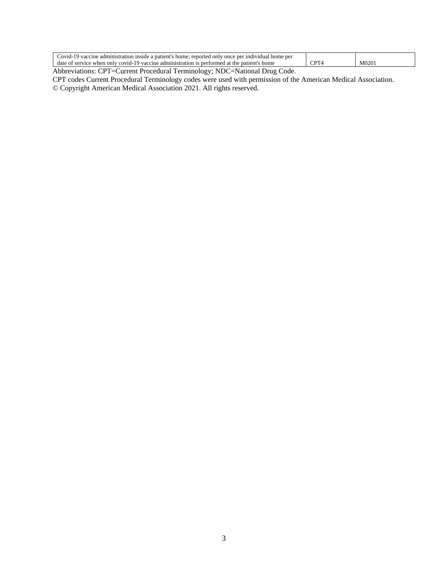| `ovid-<br>ner<br>ient<br>only<br>nau<br>reported<br>-individual<br>once<br>ne<br>. inside -<br>home <sup>.</sup><br>admini<br>10P<br>home<br>vac<br>enne.<br>sifaf |     |     |
|--------------------------------------------------------------------------------------------------------------------------------------------------------------------|-----|-----|
| COV <sub>10</sub><br>da1<br>home<br>. rormec<br>only<br>patien<br>zaccine<br>annist <sup>.</sup><br>the<br>$W$ hen<br>∘tion.<br>.1100.7                            | ann | M() |
| the control of the control of                                                                                                                                      |     |     |

Abbreviations: CPT=Current Procedural Terminology; NDC=National Drug Code.

CPT codes Current Procedural Terminology codes were used with permission of the American Medical Association.

© Copyright American Medical Association 2021. All rights reserved.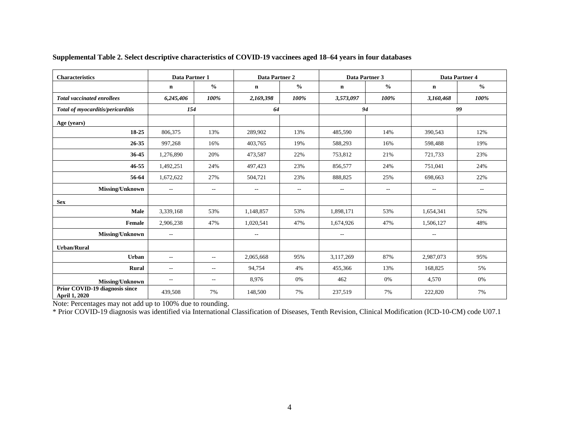| <b>Characteristics</b>                          | Data Partner 1              |                          | Data Partner 2           |               |                          | Data Partner 3           | Data Partner 4 |               |  |
|-------------------------------------------------|-----------------------------|--------------------------|--------------------------|---------------|--------------------------|--------------------------|----------------|---------------|--|
|                                                 | $\mathbf n$                 | $\frac{0}{0}$            | n                        | $\frac{0}{0}$ | $\mathbf n$              | $\frac{0}{0}$            | n              | $\frac{0}{0}$ |  |
| <b>Total vaccinated enrollees</b>               | 6,245,406                   | 100%                     | 2,169,398                | 100%          | 3,573,097                | 100%                     | 3,160,468      | 100%          |  |
| Total of myocarditis/pericarditis               | 154                         |                          | 64                       |               |                          | 94                       | 99             |               |  |
| Age (years)                                     |                             |                          |                          |               |                          |                          |                |               |  |
| 18-25                                           | 806,375                     | 13%                      | 289,902                  | 13%           | 485,590                  | 14%                      | 390,543        | 12%           |  |
| 26-35                                           | 997,268                     | 16%                      | 403,765                  | 19%           | 588,293                  | 16%                      | 598,488        | 19%           |  |
| 36-45                                           | 1,276,890                   | 20%                      | 473,587                  | 22%           | 753,812                  | 21%                      | 721,733        | 23%           |  |
| 46-55                                           | 1,492,251                   | 24%                      | 497,423                  | 23%           | 856,577                  | 24%                      | 751,041        | 24%           |  |
| 56-64                                           | 1,672,622                   | 27%                      | 504,721                  | 23%           | 888,825                  | 25%                      | 698,663        | 22%           |  |
| Missing/Unknown                                 | $\mathcal{L}_{\mathcal{L}}$ | $\overline{\phantom{a}}$ | $\overline{a}$           | $\sim$ $-$    | $\sim$                   | $\overline{\phantom{a}}$ | $\sim$ $\sim$  | $\sim$ $-$    |  |
| <b>Sex</b>                                      |                             |                          |                          |               |                          |                          |                |               |  |
| Male                                            | 3,339,168                   | 53%                      | 1,148,857                | 53%           | 1,898,171                | 53%                      | 1,654,341      | 52%           |  |
| Female                                          | 2,906,238                   | 47%                      | 1,020,541                | 47%           | 1,674,926                | 47%                      | 1,506,127      | 48%           |  |
| Missing/Unknown                                 | $\hspace{0.05cm} \ldots$    |                          | $\overline{\phantom{m}}$ |               | $\overline{\phantom{a}}$ |                          | $\sim$         |               |  |
| <b>Urban/Rural</b>                              |                             |                          |                          |               |                          |                          |                |               |  |
| <b>Urban</b>                                    | $\hspace{0.05cm} \ldots$    | $\overline{a}$           | 2,065,668                | 95%           | 3,117,269                | 87%                      | 2,987,073      | 95%           |  |
| Rural                                           | $\sim$ $\sim$               | $\overline{\phantom{a}}$ | 94,754                   | 4%            | 455,366                  | 13%                      | 168,825        | 5%            |  |
| Missing/Unknown                                 | $- -$                       | $\overline{\phantom{m}}$ | 8,976                    | 0%            | 462                      | 0%                       | 4,570          | 0%            |  |
| Prior COVID-19 diagnosis since<br>April 1, 2020 | 439,508                     | 7%                       | 148,500                  | 7%            | 237,519                  | 7%                       | 222,820        | 7%            |  |

### **Supplemental Table 2. Select descriptive characteristics of COVID-19 vaccinees aged 18–64 years in four databases**

Note: Percentages may not add up to 100% due to rounding.

\* Prior COVID-19 diagnosis was identified via International Classification of Diseases, Tenth Revision, Clinical Modification (ICD-10-CM) code U07.1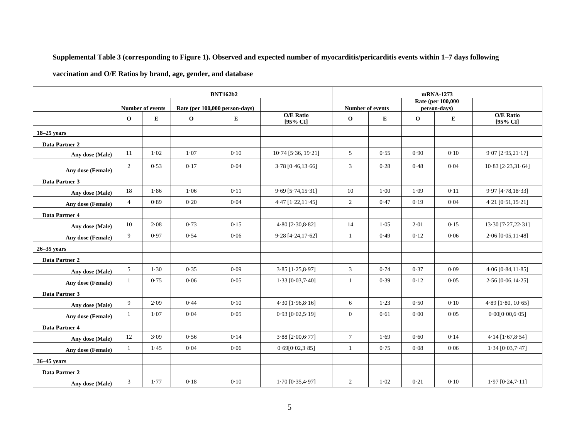### **Supplemental Table 3 (corresponding to Figure 1). Observed and expected number of myocarditis/pericarditis events within 1–7 days following**

**vaccination and O/E Ratios by brand, age, gender, and database** 

|                   | <b>BNT162b2</b> |                         |              |                                |                              |                  | mRNA-1273 |             |                                           |                              |  |
|-------------------|-----------------|-------------------------|--------------|--------------------------------|------------------------------|------------------|-----------|-------------|-------------------------------------------|------------------------------|--|
|                   |                 | <b>Number of events</b> |              | Rate (per 100,000 person-days) |                              | Number of events |           |             | <b>Rate (per 100,000)</b><br>person-days) |                              |  |
|                   | $\mathbf 0$     | ${\bf E}$               | $\mathbf{o}$ | ${\bf E}$                      | <b>O/E</b> Ratio<br>[95% CI] | $\mathbf 0$      | E         | $\mathbf 0$ | ${\bf E}$                                 | <b>O/E</b> Ratio<br>[95% CI] |  |
| $18-25$ years     |                 |                         |              |                                |                              |                  |           |             |                                           |                              |  |
| Data Partner 2    |                 |                         |              |                                |                              |                  |           |             |                                           |                              |  |
| Any dose (Male)   | 11              | $1 - 02$                | 1.07         | 0.10                           | $10.74$ [5.36, 19.21]        | 5                | 0.55      | 0.90        | 0.10                                      | $9.07$ [ $2.95,21.17$ ]      |  |
| Any dose (Female) | 2               | 0.53                    | 0.17         | 0.04                           | $3.78$ [0.46,13.66]          | 3                | 0.28      | 0.48        | 0.04                                      | $10.83$ $[2.23,31.64]$       |  |
| Data Partner 3    |                 |                         |              |                                |                              |                  |           |             |                                           |                              |  |
| Any dose (Male)   | 18              | 1.86                    | 1.06         | 0.11                           | $9.69$ [5.74,15.31]          | 10               | $1-00$    | 1.09        | 0.11                                      | 9.97 [4.78,18.33]            |  |
| Any dose (Female) | $\overline{4}$  | 0.89                    | 0.20         | 0.04                           | $4.47$ [ $1.22, 11.45$ ]     | $\overline{2}$   | 0.47      | 0.19        | 0.04                                      | $4.21$ [0.51,15.21]          |  |
| Data Partner 4    |                 |                         |              |                                |                              |                  |           |             |                                           |                              |  |
| Any dose (Male)   | $10\,$          | 2.08                    | 0.73         | 0.15                           | $4.80$ [ $2.30, 8.82$ ]      | 14               | 1.05      | 2.01        | 0.15                                      | 13.30 [7.27,22.31]           |  |
| Any dose (Female) | 9               | 0.97                    | 0.54         | 0.06                           | $9.28$ [4.24,17.62]          | $\mathbf{1}$     | 0.49      | 0.12        | 0.06                                      | $2.06$ [0.05,11.48]          |  |
| $26 - 35$ years   |                 |                         |              |                                |                              |                  |           |             |                                           |                              |  |
| Data Partner 2    |                 |                         |              |                                |                              |                  |           |             |                                           |                              |  |
| Any dose (Male)   | 5               | 1.30                    | 0.35         | 0.09                           | $3.85$ [ $1.25, 8.97$ ]      | $\mathfrak{Z}$   | 0.74      | 0.37        | 0.09                                      | $4.06$ [ $0.84, 11.85$ ]     |  |
| Any dose (Female) | $\mathbf{1}$    | 0.75                    | 0.06         | 0.05                           | $1.33$ [0.03,7.40]           | $\mathbf{1}$     | 0.39      | 0.12        | 0.05                                      | $2.56$ [0.06,14.25]          |  |
| Data Partner 3    |                 |                         |              |                                |                              |                  |           |             |                                           |                              |  |
| Any dose (Male)   | 9               | 2.09                    | 0.44         | 0.10                           | $4.30$ [ $1.96, 8.16$ ]      | 6                | 1.23      | 0.50        | 0.10                                      | $4.89$ [ $1.80$ , $10.65$ ]  |  |
| Any dose (Female) | $\mathbf{1}$    | 1.07                    | 0.04         | 0.05                           | $0.93$ [ $0.02,5.19$ ]       | $\overline{0}$   | 0.61      | 0.00        | 0.05                                      | 0.00[0.00, 6.05]             |  |
| Data Partner 4    |                 |                         |              |                                |                              |                  |           |             |                                           |                              |  |
| Any dose (Male)   | 12              | 3.09                    | 0.56         | 0.14                           | $3.88$ [ $2.00, 6.77$ ]      | $\tau$           | 1.69      | 0.60        | 0.14                                      | $4.14$ [1.67,8.54]           |  |
| Any dose (Female) | $\mathbf{1}$    | 1.45                    | 0.04         | 0.06                           | 0.69[0.02, 3.85]             | $\mathbf{1}$     | 0.75      | 0.08        | 0.06                                      | $1.34$ [0.03,7.47]           |  |
| 36-45 years       |                 |                         |              |                                |                              |                  |           |             |                                           |                              |  |
| Data Partner 2    |                 |                         |              |                                |                              |                  |           |             |                                           |                              |  |
| Any dose (Male)   | 3               | 1.77                    | 0.18         | 0.10                           | $1.70$ [0.35,4.97]           | $\overline{2}$   | $1 - 02$  | 0.21        | 0.10                                      | $1.97$ [0.24,7.11]           |  |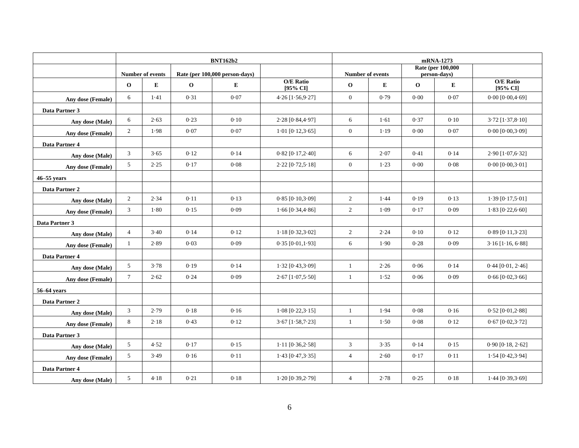|                   | <b>BNT162b2</b> |                  |              |                                |                              |                         | mRNA-1273 |             |                                           |                              |  |
|-------------------|-----------------|------------------|--------------|--------------------------------|------------------------------|-------------------------|-----------|-------------|-------------------------------------------|------------------------------|--|
|                   |                 | Number of events |              | Rate (per 100,000 person-days) |                              | <b>Number of events</b> |           |             | <b>Rate (per 100,000)</b><br>person-days) |                              |  |
|                   | $\mathbf 0$     | E                | $\mathbf{o}$ | E                              | <b>O/E Ratio</b><br>[95% CI] | $\mathbf{o}$            | E         | $\mathbf 0$ | ${\bf E}$                                 | <b>O/E Ratio</b><br>[95% CI] |  |
| Any dose (Female) | 6               | 1.41             | 0.31         | 0.07                           | $4.26$ [ $1.56, 9.27$ ]      | $\mathbf{0}$            | 0.79      | 0.00        | 0.07                                      | 0.00 [0.00, 4.69]            |  |
| Data Partner 3    |                 |                  |              |                                |                              |                         |           |             |                                           |                              |  |
| Any dose (Male)   | 6               | 2.63             | 0.23         | 0.10                           | $2.28$ [0.84,4.97]           | 6                       | 1.61      | 0.37        | 0.10                                      | $3.72$ $[1.37, 8.10]$        |  |
| Any dose (Female) | $\overline{2}$  | 1.98             | 0.07         | 0.07                           | $1.01$ [0.12,3.65]           | $\mathbf{0}$            | 1.19      | 0.00        | 0.07                                      | $0.00$ [ $0.00, 3.09$ ]      |  |
| Data Partner 4    |                 |                  |              |                                |                              |                         |           |             |                                           |                              |  |
| Any dose (Male)   | 3               | 3.65             | 0.12         | 0.14                           | $0.82$ [ $0.17,2.40$ ]       | 6                       | 2.07      | 0.41        | 0.14                                      | $2.90$ [ $1.07,6.32$ ]       |  |
| Any dose (Female) | 5 <sup>5</sup>  | 2.25             | 0.17         | 0.08                           | $2.22$ [0.72,5.18]           | $\mathbf{0}$            | $1 - 23$  | 0.00        | 0.08                                      | $0.00$ [ $0.00, 3.01$ ]      |  |
| $46 - 55$ years   |                 |                  |              |                                |                              |                         |           |             |                                           |                              |  |
| Data Partner 2    |                 |                  |              |                                |                              |                         |           |             |                                           |                              |  |
| Any dose (Male)   | $\overline{c}$  | 2.34             | 0.11         | 0.13                           | $0.85$ [ $0.10,3.09$ ]       | $\sqrt{2}$              | 1.44      | 0.19        | 0.13                                      | $1.39$ [ $0.17,5.01$ ]       |  |
| Any dose (Female) | 3               | 1.80             | 0.15         | 0.09                           | $1.66$ [0.34,4.86]           | $\overline{2}$          | 1.09      | 0.17        | 0.09                                      | $1.83$ [0.22,6.60]           |  |
| Data Partner 3    |                 |                  |              |                                |                              |                         |           |             |                                           |                              |  |
| Any dose (Male)   | $\overline{4}$  | 3.40             | 0.14         | 0.12                           | $1.18$ [0.32,3.02]           | $\overline{2}$          | 2.24      | 0.10        | 0.12                                      | $0.89$ [ $0.11, 3.23$ ]      |  |
| Any dose (Female) | $\mathbf{1}$    | 2.89             | 0.03         | 0.09                           | $0.35$ [ $0.01, 1.93$ ]      | 6                       | 1.90      | 0.28        | 0.09                                      | $3.16$ [1.16, 6.88]          |  |
| Data Partner 4    |                 |                  |              |                                |                              |                         |           |             |                                           |                              |  |
| Any dose (Male)   | 5               | 3.78             | 0.19         | 0.14                           | $1.32$ [0.43,3.09]           | $\mathbf{1}$            | 2.26      | 0.06        | 0.14                                      | $0.44$ [ $0.01$ , $2.46$ ]   |  |
| Any dose (Female) | $\tau$          | 2.62             | 0.24         | 0.09                           | $2.67$ [ $1.07,5.50$ ]       | $\mathbf{1}$            | 1.52      | 0.06        | 0.09                                      | $0.66$ [ $0.02, 3.66$ ]      |  |
| 56–64 vears       |                 |                  |              |                                |                              |                         |           |             |                                           |                              |  |
| Data Partner 2    |                 |                  |              |                                |                              |                         |           |             |                                           |                              |  |
| Any dose (Male)   | 3               | 2.79             | 0.18         | 0.16                           | $1.08$ [0.22, $3.15$ ]       | $\mathbf{1}$            | 1.94      | 0.08        | 0.16                                      | $0.52$ [ $0.01, 2.88$ ]      |  |
| Any dose (Female) | 8               | 2.18             | 0.43         | 0.12                           | $3.67$ [1.58,7.23]           | $\mathbf{1}$            | 1.50      | 0.08        | 0.12                                      | $0.67$ [ $0.02, 3.72$ ]      |  |
| Data Partner 3    |                 |                  |              |                                |                              |                         |           |             |                                           |                              |  |
| Any dose (Male)   | 5               | 4.52             | 0.17         | 0.15                           | $1.11$ [0.36,2.58]           | $\mathfrak{Z}$          | 3.35      | 0.14        | 0.15                                      | $0.90$ [ $0.18$ , $2.62$ ]   |  |
| Any dose (Female) | 5 <sup>5</sup>  | 3.49             | 0.16         | 0.11                           | $1.43$ [0.47, $3.35$ ]       | $\overline{4}$          | 2.60      | 0.17        | 0.11                                      | $1.54$ [0.42,3.94]           |  |
| Data Partner 4    |                 |                  |              |                                |                              |                         |           |             |                                           |                              |  |
| Any dose (Male)   | 5 <sup>5</sup>  | 4.18             | 0.21         | 0.18                           | 1.20 [0.39, 2.79]            | $\overline{4}$          | 2.78      | 0.25        | 0.18                                      | $1.44$ [0.39,3.69]           |  |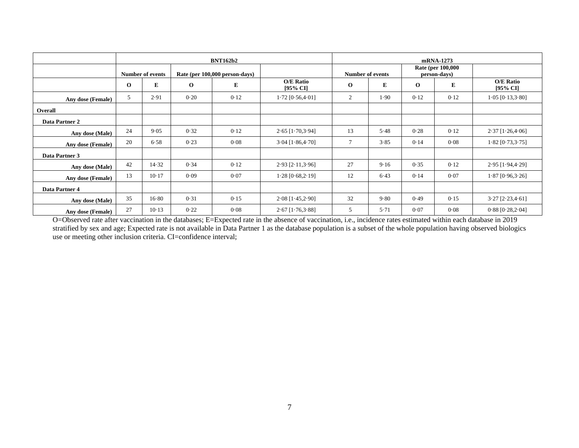|                   |                         |       |                                | <b>BNT162b2</b> |                              |                  | mRNA-1273 |                                           |      |                                  |  |  |
|-------------------|-------------------------|-------|--------------------------------|-----------------|------------------------------|------------------|-----------|-------------------------------------------|------|----------------------------------|--|--|
|                   | <b>Number of events</b> |       | Rate (per 100,000 person-days) |                 |                              | Number of events |           | <b>Rate (per 100,000)</b><br>person-days) |      |                                  |  |  |
|                   | $\mathbf{o}$            | E     | $\mathbf{o}$                   | E               | <b>O/E Ratio</b><br>[95% CI] | $\mathbf 0$      | E         | $\mathbf{o}$                              | E    | O/E Ratio<br>$[95\% \text{ CI}]$ |  |  |
| Any dose (Female) | 5                       | 2.91  | 0.20                           | 0.12            | $1.72$ [0.56,4.01]           | $\overline{2}$   | 1.90      | 0.12                                      | 0.12 | $1.05$ [0.13,3.80]               |  |  |
| Overall           |                         |       |                                |                 |                              |                  |           |                                           |      |                                  |  |  |
| Data Partner 2    |                         |       |                                |                 |                              |                  |           |                                           |      |                                  |  |  |
| Any dose (Male)   | 24                      | 9.05  | 0.32                           | 0.12            | $2.65$ [1.70,3.94]           | 13               | 5.48      | 0.28                                      | 0.12 | $2.37$ [1.26,4.06]               |  |  |
| Any dose (Female) | 20                      | 6.58  | 0.23                           | 0.08            | $3.04$ [ $1.86, 4.70$ ]      | 7                | 3.85      | 0.14                                      | 0.08 | $1.82$ [0.73,3.75]               |  |  |
| Data Partner 3    |                         |       |                                |                 |                              |                  |           |                                           |      |                                  |  |  |
| Any dose (Male)   | 42                      | 14.32 | 0.34                           | 0.12            | $2.93$ [ $2.11, 3.96$ ]      | 27               | 9.16      | 0.35                                      | 0.12 | $2.95$ [1.94,4.29]               |  |  |
| Any dose (Female) | 13                      | 10.17 | 0.09                           | 0.07            | $1.28$ [0.68,2.19]           | 12               | 6.43      | 0.14                                      | 0.07 | $1.87$ [0.96,3.26]               |  |  |
| Data Partner 4    |                         |       |                                |                 |                              |                  |           |                                           |      |                                  |  |  |
| Any dose (Male)   | 35                      | 16.80 | 0.31                           | 0.15            | $2.08$ [1.45,2.90]           | 32               | 9.80      | 0.49                                      | 0.15 | $3.27$ [ $2.23,4.61$ ]           |  |  |
| Any dose (Female) | 27                      | 10.13 | 0.22                           | 0.08            | $2.67$ [1.76,3.88]           | 5                | 5.71      | 0.07                                      | 0.08 | $0.88$ [ $0.28, 2.04$ ]          |  |  |

O=Observed rate after vaccination in the databases; E=Expected rate in the absence of vaccination, i.e., incidence rates estimated within each database in 2019 stratified by sex and age; Expected rate is not available in Data Partner 1 as the database population is a subset of the whole population having observed biologics use or meeting other inclusion criteria. CI=confidence interval;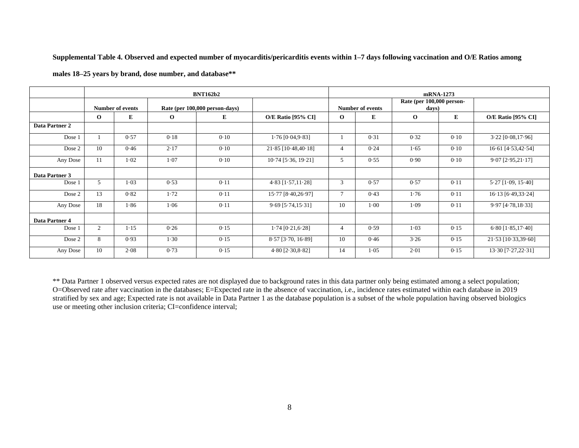**Supplemental Table 4. Observed and expected number of myocarditis/pericarditis events within 1–7 days following vaccination and O/E Ratios among** 

|                |                |                         |              | <b>BNT162b2</b>                |                           | mRNA-1273    |                         |                                    |      |                           |  |
|----------------|----------------|-------------------------|--------------|--------------------------------|---------------------------|--------------|-------------------------|------------------------------------|------|---------------------------|--|
|                |                | <b>Number of events</b> |              | Rate (per 100,000 person-days) |                           |              | <b>Number of events</b> | Rate (per 100,000 person-<br>days) |      |                           |  |
|                | $\Omega$       | E                       | $\mathbf{o}$ | E                              | <b>O/E Ratio [95% CI]</b> | $\Omega$     | E                       | $\mathbf{o}$                       | E    | <b>O/E Ratio [95% CI]</b> |  |
| Data Partner 2 |                |                         |              |                                |                           |              |                         |                                    |      |                           |  |
| Dose 1         |                | 0.57                    | 0.18         | 0.10                           | $1.76$ [0.04,9.83]        |              | 0.31                    | 0.32                               | 0.10 | $3.22$ [0.08,17.96]       |  |
| Dose 2         | 10             | 0.46                    | 2.17         | 0.10                           | $21.85$ [10.48,40.18]     | 4            | 0.24                    | 1.65                               | 0.10 | $16.61$ [4.53,42.54]      |  |
| Any Dose       | 11             | $1 - 02$                | 1.07         | 0.10                           | $10.74$ [5.36, 19.21]     | 5            | 0.55                    | 0.90                               | 0.10 | $9.07$ [ $2.95,21.17$ ]   |  |
| Data Partner 3 |                |                         |              |                                |                           |              |                         |                                    |      |                           |  |
| Dose 1         | 5              | $1-03$                  | 0.53         | 0.11                           | $4.83$ [ $1.57,11.28$ ]   | 3            | 0.57                    | 0.57                               | 0.11 | $5.27$ [1.09, 15.40]      |  |
| Dose 2         | 13             | 0.82                    | 1.72         | 0.11                           | 15.77 [8.40,26.97]        | $\mathbf{r}$ | 0.43                    | 1.76                               | 0.11 | $16.13$ [6.49,33.24]      |  |
| Any Dose       | 18             | 1.86                    | 1.06         | 0.11                           | $9.69$ [5.74,15.31]       | 10           | $1-00$                  | 1.09                               | 0.11 | $9.97$ [4.78,18.33]       |  |
| Data Partner 4 |                |                         |              |                                |                           |              |                         |                                    |      |                           |  |
| Dose 1         | $\overline{c}$ | $1 - 15$                | 0.26         | 0.15                           | $1.74$ [0.21,6.28]        | 4            | 0.59                    | 1.03                               | 0.15 | $6.80$ [1.85,17.40]       |  |
| Dose 2         | 8              | 0.93                    | 1.30         | 0.15                           | $8.57$ [ $3.70, 16.89$ ]  | 10           | 0.46                    | 3.26                               | 0.15 | 21.53 [10.33,39.60]       |  |
| Any Dose       | 10             | 2.08                    | 0.73         | 0.15                           | $4.80$ [ $2.30,8.82$ ]    | 14           | 1.05                    | 2.01                               | 0.15 | $13.30$ [7.27,22.31]      |  |

**males 18–25 years by brand, dose number, and database\*\***

\*\* Data Partner 1 observed versus expected rates are not displayed due to background rates in this data partner only being estimated among a select population; O=Observed rate after vaccination in the databases; E=Expected rate in the absence of vaccination, i.e., incidence rates estimated within each database in 2019 stratified by sex and age; Expected rate is not available in Data Partner 1 as the database population is a subset of the whole population having observed biologics use or meeting other inclusion criteria; CI=confidence interval;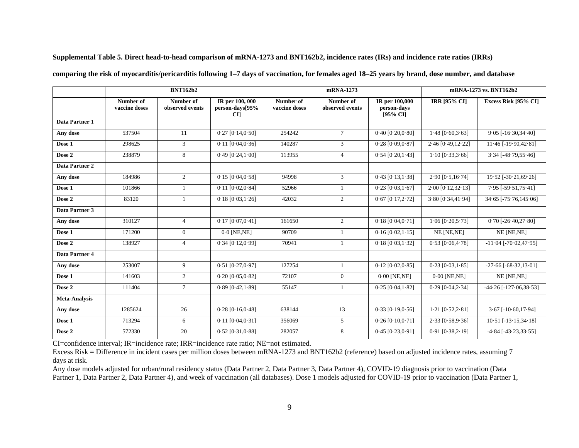| Supplemental Table 5. Direct head-to-head comparison of mRNA-1273 and BNT162b2, incidence rates (IRs) and incidence rate ratios (IRRs) |
|----------------------------------------------------------------------------------------------------------------------------------------|
|----------------------------------------------------------------------------------------------------------------------------------------|

|                       | <b>BNT162b2</b>            |                              |                                                 |                            | mRNA-1273                    | mRNA-1273 vs. BNT162b2                    |                         |                              |
|-----------------------|----------------------------|------------------------------|-------------------------------------------------|----------------------------|------------------------------|-------------------------------------------|-------------------------|------------------------------|
|                       | Number of<br>vaccine doses | Number of<br>observed events | IR per 100, 000<br>person-days[95%<br><b>CI</b> | Number of<br>vaccine doses | Number of<br>observed events | IR per 100,000<br>person-days<br>[95% CI] | IRR [95% CI]            | Excess Risk [95% CI]         |
| Data Partner 1        |                            |                              |                                                 |                            |                              |                                           |                         |                              |
| Any dose              | 537504                     | 11                           | $0.27$ [ $0.14, 0.50$ ]                         | 254242                     | $7\phantom{.0}$              | $0.40$ [ $0.20, 0.80$ ]                   | $1.48$ [0.60, $3.63$ ]  | $9.05$ [-16.30,34.40]        |
| Dose 1                | 298625                     | 3                            | $0.11$ [ $0.04, 0.36$ ]                         | 140287                     | 3                            | $0.28$ [ $0.09, 0.87$ ]                   | $2.46$ [0.49,12.22]     | $11.46$ [-19.90, 42.81]      |
| Dose 2                | 238879                     | 8                            | $0.49$ [ $0.24,1.00$ ]                          | 113955                     | $\overline{4}$               | $0.54$ [ $0.20,1.43$ ]                    | $1.10$ [0.33,3.66]      | $3.34$ [-48.79,55.46]        |
| <b>Data Partner 2</b> |                            |                              |                                                 |                            |                              |                                           |                         |                              |
| Any dose              | 184986                     | $\overline{2}$               | $0.15$ [ $0.04, 0.58$ ]                         | 94998                      | 3                            | $0.43$ [ $0.13,1.38$ ]                    | 2.90 [0.5, 16.74]       | 19.52 [-30.21,69.26]         |
| Dose 1                | 101866                     | 1                            | $0.11$ [ $0.02, 0.84$ ]                         | 52966                      | $\overline{1}$               | $0.23$ [ $0.03, 1.67$ ]                   | $2.00$ [0.12,32.13]     | $7.95$ [-59.51, 75.41]       |
| Dose 2                | 83120                      | 1                            | $0.18$ [ $0.03, 1.26$ ]                         | 42032                      | 2                            | $0.67$ [ $0.17,2.72$ ]                    | $3.80$ [0.34,41.94]     | $34.65$ [-75.76,145.06]      |
| Data Partner 3        |                            |                              |                                                 |                            |                              |                                           |                         |                              |
| Any dose              | 310127                     | $\overline{4}$               | $0.17$ [0.07,0.41]                              | 161650                     | 2                            | 0.18 [0.04, 0.71]                         | $1.06$ $[0.20, 5.73]$   | $0.70$ [-26.40,27.80]        |
| Dose 1                | 171200                     | $\overline{0}$               | $0.0$ [NE, NE]                                  | 90709                      |                              | $0.16$ [ $0.02, 1.15$ ]                   | NE [NE,NE]              | NE [NE,NE]                   |
| Dose 2                | 138927                     | 4                            | $0.34$ $[0.12, 0.99]$                           | 70941                      |                              | $0.18$ [ $0.03, 1.32$ ]                   | $0.53$ [ $0.06,4.78$ ]  | $-11.04$ [ $-70.02,47.95$ ]  |
| Data Partner 4        |                            |                              |                                                 |                            |                              |                                           |                         |                              |
| Any dose              | 253007                     | 9                            | $0.51$ $[0.27, 0.97]$                           | 127254                     |                              | $0.12$ [ $0.02, 0.85$ ]                   | $0.23$ [ $0.03,1.85$ ]  | $-27.66$ [ $-68.32,13.01$ ]  |
| Dose 1                | 141603                     | $\overline{2}$               | $0.20$ [ $0.05, 0.82$ ]                         | 72107                      | $\overline{0}$               | $0.00$ [NE,NE]                            | $0.00$ [NE,NE]          | NE [NE,NE]                   |
| Dose 2                | 111404                     | $7\overline{ }$              | $0.89$ [ $0.42,1.89$ ]                          | 55147                      | $\overline{1}$               | $0.25$ [ $0.04, 1.82$ ]                   | $0.29$ [ $0.04, 2.34$ ] | $-44.26$ [ $-127.06,38.53$ ] |
| <b>Meta-Analysis</b>  |                            |                              |                                                 |                            |                              |                                           |                         |                              |
| Any dose              | 1285624                    | 26                           | $0.28$ [ $0.16, 0.48$ ]                         | 638144                     | 13                           | $0.33$ [0.19,0.56]                        | $1.21$ [0.52,2.81]      | $3.67$ [-10.60,17.94]        |
| Dose 1                | 713294                     | 6                            | $0.11$ $[0.04, 0.31]$                           | 356069                     | 5                            | $0.26$ [ $0.10, 0.71$ ]                   | $2.33$ [0.58,9.36]      | $10.51$ [-13.15,34.18]       |
| Dose 2                | 572330                     | 20                           | $0.52$ [ $0.31, 0.88$ ]                         | 282057                     | 8                            | $0.45$ [ $0.23, 0.91$ ]                   | $0.91$ $[0.38,2.19]$    | $-4.84$ [ $-43.23,33.55$ ]   |

**comparing the risk of myocarditis/pericarditis following 1–7 days of vaccination, for females aged 18–25 years by brand, dose number, and database**

CI=confidence interval; IR=incidence rate; IRR=incidence rate ratio; NE=not estimated.

Excess Risk = Difference in incident cases per million doses between mRNA-1273 and BNT162b2 (reference) based on adjusted incidence rates, assuming 7 days at risk.

Any dose models adjusted for urban/rural residency status (Data Partner 2, Data Partner 3, Data Partner 4), COVID-19 diagnosis prior to vaccination (Data Partner 1, Data Partner 2, Data Partner 4), and week of vaccination (all databases). Dose 1 models adjusted for COVID-19 prior to vaccination (Data Partner 1,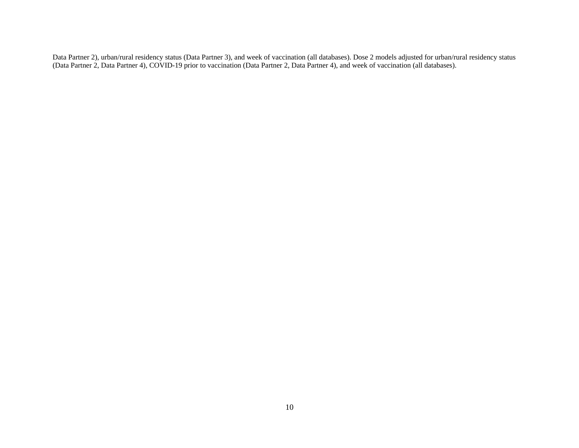Data Partner 2), urban/rural residency status (Data Partner 3), and week of vaccination (all databases). Dose 2 models adjusted for urban/rural residency status (Data Partner 2, Data Partner 4), COVID-19 prior to vaccination (Data Partner 2, Data Partner 4), and week of vaccination (all databases).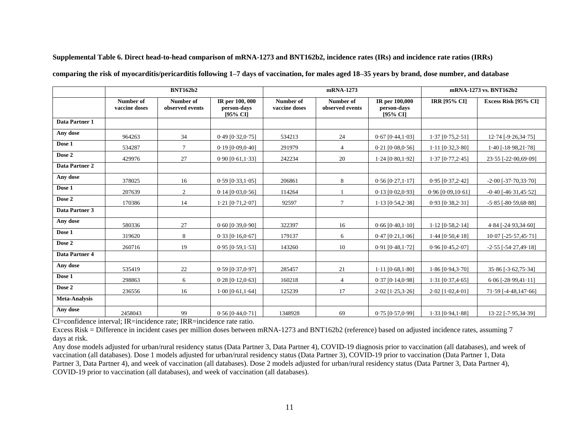**Supplemental Table 6. Direct head-to-head comparison of mRNA-1273 and BNT162b2, incidence rates (IRs) and incidence rate ratios (IRRs)** 

|                      | <b>BNT162b2</b>            |                              |                                               |                            | mRNA-1273                    | mRNA-1273 vs. BNT162b2                    |                         |                            |
|----------------------|----------------------------|------------------------------|-----------------------------------------------|----------------------------|------------------------------|-------------------------------------------|-------------------------|----------------------------|
|                      | Number of<br>vaccine doses | Number of<br>observed events | IR per 100, 000<br>person-days<br>$[95\%$ CI] | Number of<br>vaccine doses | Number of<br>observed events | IR per 100,000<br>person-days<br>[95% CI] | <b>IRR [95% CI]</b>     | Excess Risk [95% CI]       |
| Data Partner 1       |                            |                              |                                               |                            |                              |                                           |                         |                            |
| Any dose             | 964263                     | 34                           | $0.49$ [ $0.32, 0.75$ ]                       | 534213                     | 24                           | $0.67$ [ $0.44$ , $1.03$ ]                | $1.37$ [0.75,2.51]      | $12.74$ [-9.26,34.75]      |
| Dose 1               | 534287                     | $\tau$                       | $0.19$ [ $0.09, 0.40$ ]                       | 291979                     | $\overline{4}$               | $0.21$ [ $0.08, 0.56$ ]                   | $1.11$ $[0.32, 3.80]$   | $1.40$ [-18.98,21.78]      |
| Dose 2               | 429976                     | 27                           | $0.90$ [ $0.61,1.33$ ]                        | 242234                     | 20                           | $1.24$ [0.80,1.92]                        | $1.37$ [0.77, $2.45$ ]  | $23.55$ [-22.00,69.09]     |
| Data Partner 2       |                            |                              |                                               |                            |                              |                                           |                         |                            |
| Any dose             | 378025                     | 16                           | $0.59$ [ $0.33,1.05$ ]                        | 206861                     | 8                            | $0.56$ [ $0.27,1.17$ ]                    | $0.95$ [ $0.37,2.42$ ]  | $-2.00$ [ $-37.70,33.70$ ] |
| Dose 1               | 207639                     | $\overline{2}$               | $0.14$ [ $0.03, 0.56$ ]                       | 114264                     |                              | $0.13$ [ $0.02, 0.93$ ]                   | $0.96$ [ $0.09,10.61$ ] | $-0.40$ [ $-46.31,45.52$ ] |
| Dose 2               | 170386                     | 14                           | $1.21$ [0.71,2.07]                            | 92597                      | $\overline{7}$               | $1.13$ [0.54,2.38]                        | $0.93$ [ $0.38,2.31$ ]  | $-5.85$ [ $-80.59,68.88$ ] |
| Data Partner 3       |                            |                              |                                               |                            |                              |                                           |                         |                            |
| Any dose             | 580336                     | 27                           | $0.60$ [ $0.39, 0.90$ ]                       | 322397                     | 16                           | $0.66$ [ $0.40,1.10$ ]                    | $1.12$ [0.58,2.14]      | $4.84$ [-24.93,34.60]      |
| Dose 1               | 319620                     | 8                            | $0.33$ [ $0.16, 0.67$ ]                       | 179137                     | 6                            | $0.47$ [ $0.21,1.06$ ]                    | $1.44$ [0.50,4.18]      | $10.07$ [-25.57,45.71]     |
| Dose 2               | 260716                     | 19                           | $0.95$ [0.59, 1.53]                           | 143260                     | 10                           | $0.91$ [ $0.48,1.72$ ]                    | $0.96$ [ $0.45, 2.07$ ] | $-2.55$ [ $-54.27,49.18$ ] |
| Data Partner 4       |                            |                              |                                               |                            |                              |                                           |                         |                            |
| Any dose             | 535419                     | 22                           | $0.59$ [ $0.37, 0.97$ ]                       | 285457                     | 21                           | $1.11$ [0.68,1.80]                        | $1.86$ [0.94,3.70]      | $35.86$ [-3.62,75.34]      |
| Dose 1               | 298863                     | 6                            | $0.28$ [0.12,0.63]                            | 160218                     | $\overline{4}$               | $0.37$ [ $0.14, 0.98$ ]                   | $1.31$ [0.37,4.65]      | $6.06$ [-28.99,41.11]      |
| Dose 2               | 236556                     | 16                           | $1.00$ [0.61, 1.64]                           | 125239                     | 17                           | $2.02$ [1.25, $3.26$ ]                    | $2.02$ [1.02,4.01]      | $71.59$ [-4.48,147.66]     |
| <b>Meta-Analysis</b> |                            |                              |                                               |                            |                              |                                           |                         |                            |
| Any dose             | 2458043                    | 99                           | $0.56$ [ $0.44$ , $0.71$ ]                    | 1348928                    | 69                           | $0.75$ [0.57,0.99]                        | $1.33$ [0.94, $1.88$ ]  | 13.22 [-7.95,34.39]        |

**comparing the risk of myocarditis/pericarditis following 1–7 days of vaccination, for males aged 18–35 years by brand, dose number, and database**

CI=confidence interval; IR=incidence rate; IRR=incidence rate ratio.

Excess Risk = Difference in incident cases per million doses between mRNA-1273 and BNT162b2 (reference) based on adjusted incidence rates, assuming 7 days at risk.

Any dose models adjusted for urban/rural residency status (Data Partner 3, Data Partner 4), COVID-19 diagnosis prior to vaccination (all databases), and week of vaccination (all databases). Dose 1 models adjusted for urban/rural residency status (Data Partner 3), COVID-19 prior to vaccination (Data Partner 1, Data Partner 3, Data Partner 4), and week of vaccination (all databases). Dose 2 models adjusted for urban/rural residency status (Data Partner 3, Data Partner 4), COVID-19 prior to vaccination (all databases), and week of vaccination (all databases).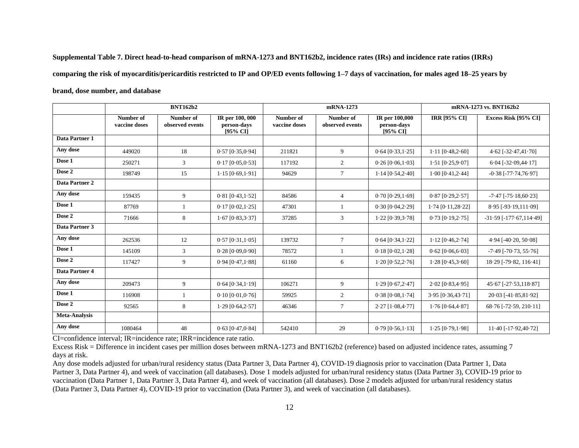**Supplemental Table 7. Direct head-to-head comparison of mRNA-1273 and BNT162b2, incidence rates (IRs) and incidence rate ratios (IRRs) comparing the risk of myocarditis/pericarditis restricted to IP and OP/ED events following 1–7 days of vaccination, for males aged 18–25 years by brand, dose number, and database** 

|                       | <b>BNT162b2</b>            |                              |                                            |                            | mRNA-1273                    | mRNA-1273 vs. BNT162b2                       |                         |                                   |
|-----------------------|----------------------------|------------------------------|--------------------------------------------|----------------------------|------------------------------|----------------------------------------------|-------------------------|-----------------------------------|
|                       | Number of<br>vaccine doses | Number of<br>observed events | IR per 100, 000<br>person-days<br>[95% CI] | Number of<br>vaccine doses | Number of<br>observed events | IR per 100,000<br>person-days<br>$[95\%$ CI] | <b>IRR [95% CI]</b>     | Excess Risk [95% CI]              |
| Data Partner 1        |                            |                              |                                            |                            |                              |                                              |                         |                                   |
| Any dose              | 449020                     | 18                           | $0.57$ [ $0.35, 0.94$ ]                    | 211821                     | 9                            | $0.64$ [ $0.33,1.25$ ]                       | $1.11$ $[0.48, 2.60]$   | $4.62$ [-32.47,41.70]             |
| Dose 1                | 250271                     | 3                            | $0.17$ [ $0.05, 0.53$ ]                    | 117192                     | 2                            | $0.26$ [ $0.06,1.03$ ]                       | $1.51$ [0.25,9.07]      | $6.04$ [-32.09, 44.17]            |
| Dose 2                | 198749                     | 15                           | $1.15$ [0.69, 1.91]                        | 94629                      | $7\phantom{.0}$              | $1.14$ [0.54,2.40]                           | $1.00$ [0.41,2.44]      | $-0.38$ [ $-77.74,76.97$ ]        |
| <b>Data Partner 2</b> |                            |                              |                                            |                            |                              |                                              |                         |                                   |
| Any dose              | 159435                     | 9                            | $0.81$ [0.43,1.52]                         | 84586                      | $\overline{4}$               | $0.70$ [0.29,1.69]                           | $0.87$ [ $0.29,2.57$ ]  | $-7.47$ [ $-75.18,60.23$ ]        |
| Dose 1                | 87769                      |                              | $0.17$ [ $0.02, 1.25$ ]                    | 47301                      |                              | $0.30$ [ $0.04, 2.29$ ]                      | $1.74$ [0.11,28.22]     | 8.95 [-93.19,111.09]              |
| Dose 2                | 71666                      | 8                            | $1.67$ [0.83, $3.3.37$ ]                   | 37285                      | 3                            | $1.22$ [0.39, $3.78$ ]                       | $0.73$ [ $0.19,2.75$ ]  | $-31.59$ [ $-177.67$ , $114.49$ ] |
| Data Partner 3        |                            |                              |                                            |                            |                              |                                              |                         |                                   |
| Any dose              | 262536                     | 12                           | $0.57$ [ $0.31,1.05$ ]                     | 139732                     | $\tau$                       | $0.64$ [ $0.34, 1.22$ ]                      | $1.12$ [0.46,2.74]      | $4.94$ [ $-40.20$ , $50.08$ ]     |
| Dose 1                | 145109                     | 3                            | $0.28$ [ $0.09, 0.90$ ]                    | 78572                      |                              | $0.18$ [ $0.02, 1.28$ ]                      | $0.62$ [ $0.06, 6.03$ ] | $-7.49$ [ $-70.73$ , $55.76$ ]    |
| Dose 2                | 117427                     | 9                            | $0.94$ [ $0.47,1.88$ ]                     | 61160                      | 6                            | $1.20$ [0.52,2.76]                           | $1.28$ [0.45,3.60]      | 18.29 [-79.82, 116.41]            |
| Data Partner 4        |                            |                              |                                            |                            |                              |                                              |                         |                                   |
| Any dose              | 209473                     | 9                            | $0.64$ [ $0.34$ , $1.19$ ]                 | 106271                     | 9                            | $1.29$ [0.67, $2.47$ ]                       | $2.02$ [0.83,4.95]      | $45.67$ [-27.53,118.87]           |
| Dose 1                | 116908                     |                              | $0.10$ [ $0.01$ , $0.76$ ]                 | 59925                      | 2                            | $0.38$ [ $0.08$ , $1.74$ ]                   | $3.95$ [0.36,43.71]     | $20.03$ [-41.85,81.92]            |
| Dose 2                | 92565                      | 8                            | $1.29$ [0.64,2.57]                         | 46346                      | $\tau$                       | $2.27$ [1.08,4.77]                           | $1.76$ [0.64,4.87]      | 68.76 [-72.59, 210.11]            |
| <b>Meta-Analysis</b>  |                            |                              |                                            |                            |                              |                                              |                         |                                   |
| Any dose              | 1080464                    | 48                           | $0.63$ [ $0.47, 0.84$ ]                    | 542410                     | 29                           | $0.79$ [ $0.56$ , $1.13$ ]                   | $1.25$ [0.79,1.98]      | $11.40$ [-17.92,40.72]            |

CI=confidence interval; IR=incidence rate; IRR=incidence rate ratio.

Excess Risk = Difference in incident cases per million doses between mRNA-1273 and BNT162b2 (reference) based on adjusted incidence rates, assuming 7 days at risk.

Any dose models adjusted for urban/rural residency status (Data Partner 3, Data Partner 4), COVID-19 diagnosis prior to vaccination (Data Partner 1, Data Partner 3, Data Partner 4), and week of vaccination (all databases). Dose 1 models adjusted for urban/rural residency status (Data Partner 3), COVID-19 prior to vaccination (Data Partner 1, Data Partner 3, Data Partner 4), and week of vaccination (all databases). Dose 2 models adjusted for urban/rural residency status (Data Partner 3, Data Partner 4), COVID-19 prior to vaccination (Data Partner 3), and week of vaccination (all databases).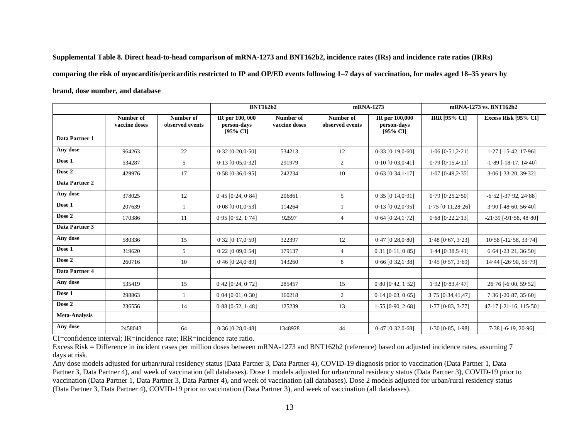**Supplemental Table 8. Direct head-to-head comparison of mRNA-1273 and BNT162b2, incidence rates (IRs) and incidence rate ratios (IRRs) comparing the risk of myocarditis/pericarditis restricted to IP and OP/ED events following 1–7 days of vaccination, for males aged 18–35 years by brand, dose number, and database**

|                       |                            |                              | <b>BNT162b2</b>                            |                            | mRNA-1273                    |                                           |                            | mRNA-1273 vs. BNT162b2          |
|-----------------------|----------------------------|------------------------------|--------------------------------------------|----------------------------|------------------------------|-------------------------------------------|----------------------------|---------------------------------|
|                       | Number of<br>vaccine doses | Number of<br>observed events | IR per 100, 000<br>person-days<br>[95% CI] | Number of<br>vaccine doses | Number of<br>observed events | IR per 100,000<br>person-days<br>[95% CI] | <b>IRR [95% CI]</b>        | Excess Risk [95% CI]            |
| Data Partner 1        |                            |                              |                                            |                            |                              |                                           |                            |                                 |
| Any dose              | 964263                     | 22                           | $0.32$ [ $0.20, 0.50$ ]                    | 534213                     | 12                           | $0.33$ [ $0.19, 0.60$ ]                   | $1.06$ [0.51,2.21]         | $1.27$ [-15.42, 17.96]          |
| Dose 1                | 534287                     | 5                            | $0.13$ [ $0.05, 0.32$ ]                    | 291979                     | 2                            | $0.10$ [ $0.03, 0.41$ ]                   | $0.79$ [ $0.15,4.11$ ]     | $-1.89$ [ $-18.17$ , $14.40$ ]  |
| Dose 2                | 429976                     | 17                           | $0.58$ [ $0.36, 0.95$ ]                    | 242234                     | 10                           | $0.63$ [ $0.34$ , $1.17$ ]                | $1.07$ [0.49,2.35]         | $3.06$ [-33.20, 39.32]          |
| <b>Data Partner 2</b> |                            |                              |                                            |                            |                              |                                           |                            |                                 |
| Any dose              | 378025                     | 12                           | $0.45$ [ $0.24$ , $0.84$ ]                 | 206861                     | 5                            | $0.35$ [ $0.14, 0.91$ ]                   | $0.79$ $[0.25, 2.50]$      | $-6.52$ [ $-37.92$ , $24.88$ ]  |
| Dose 1                | 207639                     |                              | $0.08$ [ $0.01, 0.53$ ]                    | 114264                     |                              | $0.13$ [ $0.02, 0.95$ ]                   | $1.75$ [0.11,28.26]        | $3.90$ [-48.60, 56.40]          |
| Dose 2                | 170386                     | 11                           | $0.95$ [ $0.52$ , $1.74$ ]                 | 92597                      | $\overline{4}$               | $0.64$ [ $0.24$ , $1.72$ ]                | $0.68$ $[0.22, 2.13]$      | $-21.39$ [ $-91.58$ , $48.80$ ] |
| Data Partner 3        |                            |                              |                                            |                            |                              |                                           |                            |                                 |
| Any dose              | 580336                     | 15                           | $0.32$ [ $0.17, 0.59$ ]                    | 322397                     | 12                           | $0.47$ [ $0.28, 0.80$ ]                   | $1.48$ [0.67, $3.23$ ]     | $10.58$ [-12.58, 33.74]         |
| Dose 1                | 319620                     | $5^{\circ}$                  | $0.22$ [ $0.09, 0.54$ ]                    | 179137                     | $\overline{4}$               | $0.31$ [ $0.11$ , $0.85$ ]                | $1.44$ [0.38,5.41]         | $6.64$ [-23.21, 36.50]          |
| Dose 2                | 260716                     | 10                           | $0.46$ [ $0.24, 0.89$ ]                    | 143260                     | 8                            | $0.66$ [ $0.32,1.38$ ]                    | $1.45$ [0.57, $3.69$ ]     | 14.44 [-26.90, 55.79]           |
| Data Partner 4        |                            |                              |                                            |                            |                              |                                           |                            |                                 |
| Any dose              | 535419                     | 15                           | $0.42$ [ $0.24$ , $0.72$ ]                 | 285457                     | 15                           | $0.80$ [ $0.42$ , $1.52$ ]                | $1.92$ [0.83,4.47]         | $26.76$ [ $-6.00, 59.52$ ]      |
| Dose 1                | 298863                     | $\mathbf{1}$                 | $0.04$ [ $0.01$ , $0.30$ ]                 | 160218                     | 2                            | $0.14$ [0.03, 0.65]                       | $3.75$ $[0.34, 41, 47]$    | $7.36$ [-20.87, 35.60]          |
| Dose 2                | 236556                     | 14                           | $0.88$ [ $0.52$ , $1.48$ ]                 | 125239                     | 13                           | $1.55$ [0.90, $2.68$ ]                    | $1.77$ [0.83, $3.77$ ]     | $47.17$ [-21.16, 115.50]        |
| <b>Meta-Analysis</b>  |                            |                              |                                            |                            |                              |                                           |                            |                                 |
| Any dose              | 2458043                    | 64                           | $0.36$ [ $0.28, 0.48$ ]                    | 1348928                    | 44                           | $0.47$ [ $0.32,0.68$ ]                    | $1.30$ [ $0.85$ , $1.98$ ] | $7.38$ [-6.19, 20.96]           |

CI=confidence interval; IR=incidence rate; IRR=incidence rate ratio.

Excess Risk = Difference in incident cases per million doses between mRNA-1273 and BNT162b2 (reference) based on adjusted incidence rates, assuming 7 days at risk.

Any dose models adjusted for urban/rural residency status (Data Partner 3, Data Partner 4), COVID-19 diagnosis prior to vaccination (Data Partner 1, Data Partner 3, Data Partner 4), and week of vaccination (all databases). Dose 1 models adjusted for urban/rural residency status (Data Partner 3), COVID-19 prior to vaccination (Data Partner 1, Data Partner 3, Data Partner 4), and week of vaccination (all databases). Dose 2 models adjusted for urban/rural residency status (Data Partner 3, Data Partner 4), COVID-19 prior to vaccination (Data Partner 3), and week of vaccination (all databases).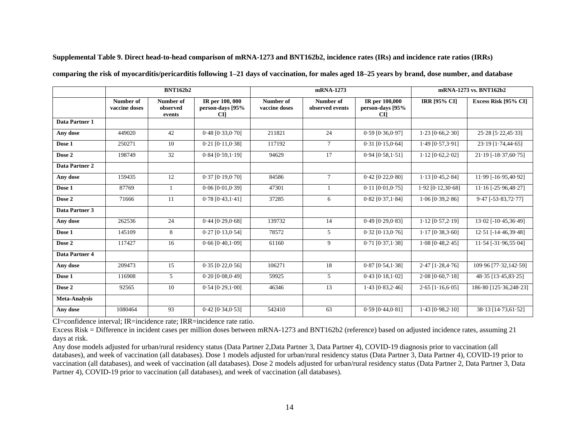| Supplemental Table 9. Direct head-to-head comparison of mRNA-1273 and BNT162b2, incidence rates (IRs) and incidence rate ratios (IRRs) |  |  |  |  |  |  |
|----------------------------------------------------------------------------------------------------------------------------------------|--|--|--|--|--|--|
|----------------------------------------------------------------------------------------------------------------------------------------|--|--|--|--|--|--|

|                      | <b>BNT162b2</b>            |                                 | mRNA-1273                                          |                            |                              | mRNA-1273 vs. BNT162b2                            |                         |                          |
|----------------------|----------------------------|---------------------------------|----------------------------------------------------|----------------------------|------------------------------|---------------------------------------------------|-------------------------|--------------------------|
|                      | Number of<br>vaccine doses | Number of<br>observed<br>events | IR per 100, 000<br>person-days [95%<br><b>CI</b> ] | Number of<br>vaccine doses | Number of<br>observed events | IR per 100,000<br>person-days [95%<br><b>CI</b> ] | <b>IRR [95% CI]</b>     | Excess Risk [95% CI]     |
| Data Partner 1       |                            |                                 |                                                    |                            |                              |                                                   |                         |                          |
| Any dose             | 449020                     | 42                              | $0.48$ [ $0.33, 0.70$ ]                            | 211821                     | 24                           | $0.59$ [ $0.36, 0.97$ ]                           | $1.23$ [ $0.66, 2.30$ ] | $25.28$ [ $5.22,45.33$ ] |
| Dose 1               | 250271                     | 10                              | $0.21$ [ $0.11, 0.38$ ]                            | 117192                     | $\tau$                       | $0.31$ [ $0.15, 0.64$ ]                           | $1.49$ [0.57, $3.91$ ]  | $23.19$ [1.74,44.65]     |
| Dose 2               | 198749                     | 32                              | $0.84$ [ $0.59$ , $1.19$ ]                         | 94629                      | 17                           | $0.94$ [ $0.58$ , $1.51$ ]                        | $1.12$ [ $0.62, 2.02$ ] | $21.19$ [-18.37,60.75]   |
| Data Partner 2       |                            |                                 |                                                    |                            |                              |                                                   |                         |                          |
| Any dose             | 159435                     | 12                              | $0.37$ [0.19,0.70]                                 | 84586                      | $\tau$                       | $0.42$ [ $0.22,0.80$ ]                            | $1.13$ [0.45,2.84]      | 11.99 [-16.95,40.92]     |
| Dose 1               | 87769                      | $\mathbf{1}$                    | $0.06$ [ $0.01, 0.39$ ]                            | 47301                      |                              | $0.11$ $[0.01, 0.75]$                             | $1.92$ [0.12,30.68]     | $11.16$ [-25.96,48.27]   |
| Dose 2               | 71666                      | 11                              | $0.78$ [ $0.43$ , $1.41$ ]                         | 37285                      | 6                            | $0.82$ [ $0.37,1.84$ ]                            | $1.06$ [0.39,2.86]      | $9.47$ [-53.83,72.77]    |
| Data Partner 3       |                            |                                 |                                                    |                            |                              |                                                   |                         |                          |
| Any dose             | 262536                     | 24                              | $0.44$ [0.29,0.68]                                 | 139732                     | 14                           | $0.49$ [ $0.29,0.83$ ]                            | $1.12$ [0.57, $2.19$ ]  | $13.02$ [-10.45,36.49]   |
| Dose 1               | 145109                     | 8                               | $0.27$ [ $0.13,0.54$ ]                             | 78572                      | 5                            | $0.32$ [ $0.13, 0.76$ ]                           | $1.17$ [0.38,3.60]      | 12.51 [-14.46,39.48]     |
| Dose 2               | 117427                     | 16                              | $0.66$ [ $0.40,1.09$ ]                             | 61160                      | 9                            | $0.71$ $[0.37, 1.38]$                             | $1.08$ [0.48,2.45]      | $11.54$ [-31.96,55.04]   |
| Data Partner 4       |                            |                                 |                                                    |                            |                              |                                                   |                         |                          |
| Any dose             | 209473                     | 15                              | $0.35$ [ $0.22, 0.56$ ]                            | 106271                     | 18                           | $0.87$ [ $0.54,1.38$ ]                            | $2.47$ [1.28,4.76]      | 109.96 [77.32,142.59]    |
| Dose 1               | 116908                     | 5                               | $0.20$ [ $0.08, 0.49$ ]                            | 59925                      | 5                            | $0.43$ [ $0.18,1.02$ ]                            | $2.08$ [0.60, 7.18]     | 48.35 [13.45,83.25]      |
| Dose 2               | 92565                      | 10                              | 0.54 [0.29, 1.00]                                  | 46346                      | 13                           | $1.43$ [0.83,2.46]                                | $2.65$ [ $1.16,6.05$ ]  | 186.80 [125.36,248.23]   |
| <b>Meta-Analysis</b> |                            |                                 |                                                    |                            |                              |                                                   |                         |                          |
| Any dose             | 1080464                    | 93                              | $0.42$ [ $0.34, 0.53$ ]                            | 542410                     | 63                           | $0.59$ [ $0.44, 0.81$ ]                           | $1.43$ [0.98,2.10]      | $38.13$ [14.73,61.52]    |

**comparing the risk of myocarditis/pericarditis following 1–21 days of vaccination, for males aged 18–25 years by brand, dose number, and database**

CI=confidence interval; IR=incidence rate; IRR=incidence rate ratio.

Excess Risk = Difference in incident cases per million doses between mRNA-1273 and BNT162b2 (reference) based on adjusted incidence rates, assuming 21 days at risk.

Any dose models adjusted for urban/rural residency status (Data Partner 2,Data Partner 3, Data Partner 4), COVID-19 diagnosis prior to vaccination (all databases), and week of vaccination (all databases). Dose 1 models adjusted for urban/rural residency status (Data Partner 3, Data Partner 4), COVID-19 prior to vaccination (all databases), and week of vaccination (all databases). Dose 2 models adjusted for urban/rural residency status (Data Partner 2, Data Partner 3, Data Partner 4), COVID-19 prior to vaccination (all databases), and week of vaccination (all databases).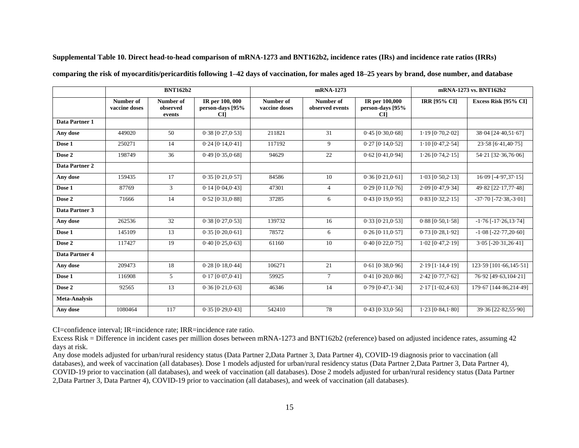|                      | <b>BNT162b2</b>            |                                 |                                                 | mRNA-1273                  |                              |                                          | mRNA-1273 vs. BNT162b2     |                                 |
|----------------------|----------------------------|---------------------------------|-------------------------------------------------|----------------------------|------------------------------|------------------------------------------|----------------------------|---------------------------------|
|                      | Number of<br>vaccine doses | Number of<br>observed<br>events | IR per 100,000<br>person-days [95%<br><b>CI</b> | Number of<br>vaccine doses | Number of<br>observed events | IR per 100,000<br>person-days [95%<br>CП | <b>IRR [95% CI]</b>        | Excess Risk [95% CI]            |
| Data Partner 1       |                            |                                 |                                                 |                            |                              |                                          |                            |                                 |
| Any dose             | 449020                     | 50                              | $0.38$ $[0.27, 0.53]$                           | 211821                     | 31                           | $0.45$ [ $0.30,0.68$ ]                   | $1.19$ [0.70,2.02]         | $38.04$ [24.40,51.67]           |
| Dose 1               | 250271                     | 14                              | $0.24$ [ $0.14, 0.41$ ]                         | 117192                     | 9                            | $0.27$ [0.14,0.52]                       | $1.10$ [0.47,2.54]         | 23.58 [6.41,40.75]              |
| Dose 2               | 198749                     | 36                              | $0.49$ [ $0.35,0.68$ ]                          | 94629                      | 22                           | $0.62$ [ $0.41, 0.94$ ]                  | $1.26$ [0.74, $2.15$ ]     | 54.21 [32.36,76.06]             |
| Data Partner 2       |                            |                                 |                                                 |                            |                              |                                          |                            |                                 |
| Any dose             | 159435                     | 17                              | $0.35$ [ $0.21, 0.57$ ]                         | 84586                      | 10                           | $0.36$ [ $0.21, 0.61$ ]                  | $1.03$ [0.50, $2.13$ ]     | $16.09$ [-4.97,37.15]           |
| Dose 1               | 87769                      | 3                               | $0.14$ [ $0.04, 0.43$ ]                         | 47301                      | $\overline{4}$               | $0.29$ [ $0.11, 0.76$ ]                  | $2.09$ [0.47,9.34]         | 49.82 [22.17,77.48]             |
| Dose 2               | 71666                      | 14                              | $0.52$ [ $0.31, 0.88$ ]                         | 37285                      | 6                            | $0.43$ [ $0.19, 0.95$ ]                  | $0.83$ [ $0.32, 2.15$ ]    | $-37.70$ [ $-72.38$ , $-3.01$ ] |
| Data Partner 3       |                            |                                 |                                                 |                            |                              |                                          |                            |                                 |
| Any dose             | 262536                     | 32                              | $0.38$ $[0.27, 0.53]$                           | 139732                     | 16                           | $0.33$ $[0.21, 0.53]$                    | $0.88$ [ $0.50$ , $1.58$ ] | $-1.76$ [ $-17.26$ , $13.74$ ]  |
| Dose 1               | 145109                     | 13                              | $0.35$ [ $0.20, 0.61$ ]                         | 78572                      | 6                            | $0.26$ [0.11, $0.57$ ]                   | $0.73$ [ $0.28, 1.92$ ]    | $-1.08$ [ $-22.77,20.60$ ]      |
| Dose 2               | 117427                     | 19                              | $0.40$ [ $0.25, 0.63$ ]                         | 61160                      | 10                           | $0.40$ $[0.22, 0.75]$                    | $1.02$ [0.47,2.19]         | $3.05$ [-20.31,26.41]           |
| Data Partner 4       |                            |                                 |                                                 |                            |                              |                                          |                            |                                 |
| Any dose             | 209473                     | 18                              | $0.28$ [0.18,0.44]                              | 106271                     | 21                           | $0.61$ [ $0.38, 0.96$ ]                  | $2.19$ [1.14,4.19]         | $123.59$ [101.66, 145.51]       |
| Dose 1               | 116908                     | 5                               | $0.17$ [ $0.07, 0.41$ ]                         | 59925                      | $\tau$                       | $0.41$ [ $0.20, 0.86$ ]                  | $2.42$ [0.77,7.62]         | 76.92 [49.63,104.21]            |
| Dose 2               | 92565                      | 13                              | $0.36$ [ $0.21, 0.63$ ]                         | 46346                      | 14                           | $0.79$ [0.47, 1.34]                      | $2.17$ [1.02,4.63]         | 179.67 [144.86,214.49]          |
| <b>Meta-Analysis</b> |                            |                                 |                                                 |                            |                              |                                          |                            |                                 |
| Any dose             | 1080464                    | 117                             | $0.35$ $[0.29, 0.43]$                           | 542410                     | 78                           | $0.43$ [ $0.33,0.56$ ]                   | $1.23$ [0.84,1.80]         | 39.36 [22.82,55.90]             |

**Supplemental Table 10. Direct head-to-head comparison of mRNA-1273 and BNT162b2, incidence rates (IRs) and incidence rate ratios (IRRs)** 

**comparing the risk of myocarditis/pericarditis following 1–42 days of vaccination, for males aged 18–25 years by brand, dose number, and database**

CI=confidence interval; IR=incidence rate; IRR=incidence rate ratio.

Excess Risk = Difference in incident cases per million doses between mRNA-1273 and BNT162b2 (reference) based on adjusted incidence rates, assuming 42 days at risk.

Any dose models adjusted for urban/rural residency status (Data Partner 2,Data Partner 3, Data Partner 4), COVID-19 diagnosis prior to vaccination (all databases), and week of vaccination (all databases). Dose 1 models adjusted for urban/rural residency status (Data Partner 2, Data Partner 3, Data Partner 4), COVID-19 prior to vaccination (all databases), and week of vaccination (all databases). Dose 2 models adjusted for urban/rural residency status (Data Partner 2,Data Partner 3, Data Partner 4), COVID-19 prior to vaccination (all databases), and week of vaccination (all databases).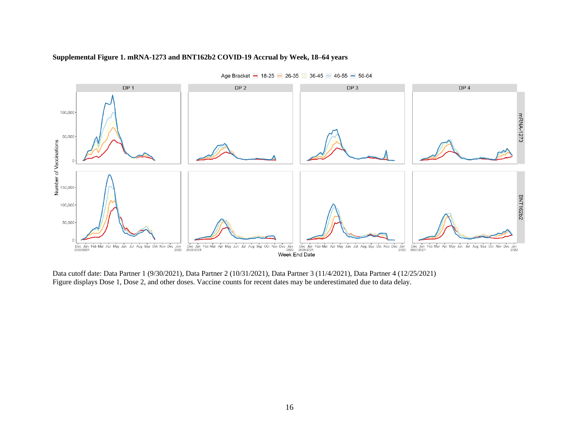#### **Supplemental Figure 1. mRNA-1273 and BNT162b2 COVID-19 Accrual by Week, 18–64 years**



Age Bracket - 18-25 - 26-35 36-45 - 46-55 - 56-64

Data cutoff date: Data Partner 1 (9/30/2021), Data Partner 2 (10/31/2021), Data Partner 3 (11/4/2021), Data Partner 4 (12/25/2021) Figure displays Dose 1, Dose 2, and other doses. Vaccine counts for recent dates may be underestimated due to data delay.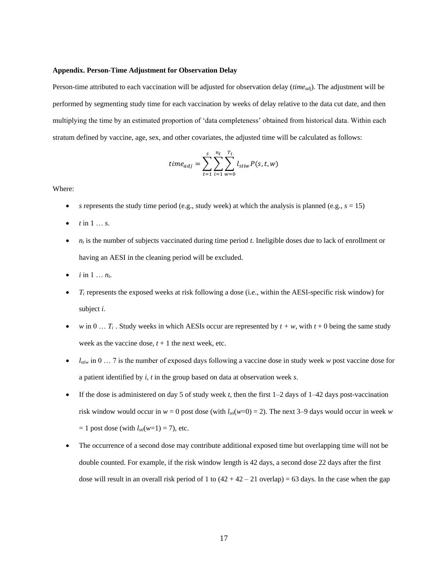#### **Appendix. Person-Time Adjustment for Observation Delay**

Person-time attributed to each vaccination will be adjusted for observation delay (*timead*j). The adjustment will be performed by segmenting study time for each vaccination by weeks of delay relative to the data cut date, and then multiplying the time by an estimated proportion of 'data completeness' obtained from historical data. Within each stratum defined by vaccine, age, sex, and other covariates, the adjusted time will be calculated as follows:

$$
time_{adj} = \sum_{t=1}^{s} \sum_{i=1}^{n_t} \sum_{w=0}^{T_i} l_{stiw} P(s, t, w)
$$

Where:

- *s* represents the study time period (e.g., study week) at which the analysis is planned (e.g.,  $s = 15$ )
- *t* in 1 … *s*.
- *n<sup>t</sup>* is the number of subjects vaccinated during time period *t*. Ineligible doses due to lack of enrollment or having an AESI in the cleaning period will be excluded.
- $i \text{ in } 1 \ldots n_t$ .
- *T<sup>i</sup>* represents the exposed weeks at risk following a dose (i.e., within the AESI-specific risk window) for subject *i*.
- *w* in 0 …  $T_i$ . Study weeks in which AESIs occur are represented by  $t + w$ , with  $t + 0$  being the same study week as the vaccine dose,  $t + 1$  the next week, etc.
- *lstiw* in 0 … 7 is the number of exposed days following a vaccine dose in study week *w* post vaccine dose for a patient identified by *i*, *t* in the group based on data at observation week *s*.
- If the dose is administered on day 5 of study week *t*, then the first 1–2 days of 1–42 days post-vaccination risk window would occur in  $w = 0$  post dose (with  $l_{scl}(w=0) = 2$ ). The next 3–9 days would occur in week *w*  $= 1$  post dose (with  $l_{\text{sti}}(w=1) = 7$ ), etc.
- The occurrence of a second dose may contribute additional exposed time but overlapping time will not be double counted. For example, if the risk window length is 42 days, a second dose 22 days after the first dose will result in an overall risk period of 1 to  $(42 + 42 - 21)$  overlap) = 63 days. In the case when the gap